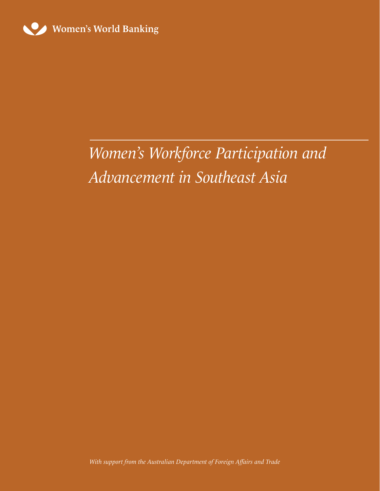

## Women's Workforce Participation and Advancement in Southeast Asia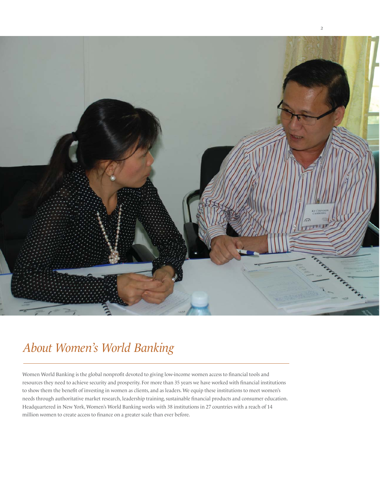

## About Women's World Banking

Women World Banking is the global nonprofit devoted to giving low-income women access to financial tools and resources they need to achieve security and prosperity. For more than 35 years we have worked with financial institutions to show them the benefit of investing in women as clients, and as leaders. We equip these institutions to meet women's needs through authoritative market research, leadership training, sustainable financial products and consumer education. Headquartered in New York, Women's World Banking works with 38 institutions in 27 countries with a reach of 14 million women to create access to finance on a greater scale than ever before.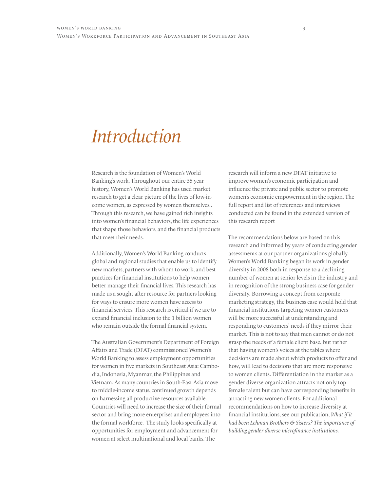## **Introduction**

Research is the foundation of Women's World Banking's work. Throughout our entire 35-year history, Women's World Banking has used market research to get a clear picture of the lives of low-income women, as expressed by women themselves.. Through this research, we have gained rich insights into women's financial behaviors, the life experiences that shape those behaviors, and the financial products that meet their needs.

Additionally, Women's World Banking conducts global and regional studies that enable us to identify new markets, partners with whom to work, and best practices for financial institutions to help women better manage their financial lives. This research has made us a sought after resource for partners looking for ways to ensure more women have access to financial services. This research is critical if we are to expand financial inclusion to the 1 billion women who remain outside the formal financial system.

The Australian Government's Department of Foreign Affairs and Trade (DFAT) commissioned Women's World Banking to assess employment opportunities for women in five markets in Southeast Asia: Cambodia, Indonesia, Myanmar, the Philippines and Vietnam. As many countries in South-East Asia move to middle-income status, continued growth depends on harnessing all productive resources available. Countries will need to increase the size of their formal sector and bring more enterprises and employees into the formal workforce. The study looks specifically at opportunities for employment and advancement for women at select multinational and local banks. The

research will inform a new DFAT initiative to improve women's economic participation and influence the private and public sector to promote women's economic empowerment in the region. The full report and list of references and interviews conducted can be found in the extended version of this research report

The recommendations below are based on this research and informed by years of conducting gender assessments at our partner organizations globally. Women's World Banking began its work in gender diversity in 2008 both in response to a declining number of women at senior levels in the industry and in recognition of the strong business case for gender diversity. Borrowing a concept from corporate marketing strategy, the business case would hold that financial institutions targeting women customers will be more successful at understanding and responding to customers' needs if they mirror their market. This is not to say that men cannot or do not grasp the needs of a female client base, but rather that having women's voices at the tables where decisions are made about which products to offer and how, will lead to decisions that are more responsive to women clients. Differentiation in the market as a gender diverse organization attracts not only top female talent but can have corresponding benefits in attracting new women clients. For additional recommendations on how to increase diversity at financial institutions, see our publication, What if it had been Lehman Brothers & Sisters? The importance of building gender diverse microfinance institutions.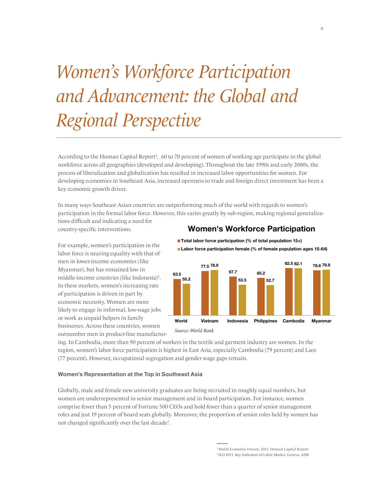# Women's Workforce Participation and Advancement: the Global and Regional Perspective

According to the Human Capital Report<sup>1</sup>, 60 to 70 percent of women of working age participate in the global workforce across all geographies (developed and developing). Throughout the late 1990s and early 2000s, the process of liberalization and globalization has resulted in increased labor opportunities for women. For developing economies in Southeast Asia, increased openness to trade and foreign direct investment has been a key economic growth driver.

In many ways Southeast Asian countries are outperforming much of the world with regards to women's participation in the formal labor force. However, this varies greatly by sub-region, making regional generalizations difficult and indicating a need for

country-specific interventions.

For example, women's participation in the labor force is nearing equality with that of men in lower-income economies (like Myanmar), but has remained low in middle-income countries (like Indonesia)<sup>2</sup>. In these markets, women's increasing rate of participation is driven in part by economic necessity. Women are more likely to engage in informal, low-wage jobs or work as unpaid helpers in family businesses. Across these countries, women outnumber men in product-line manufactur-

#### **Women's Workforce Participation**

■ Total labor force participation (% of total population 15+)



ing. In Cambodia, more than 90 percent of workers in the textile and garment industry are women. In the region, women's labor force participation is highest in East Asia, especially Cambodia (79 percent) and Laos (77 percent). However, occupational segregation and gender wage gaps remain.

#### **Women's Representation at the Top in Southeast Asia**

Globally, male and female new university graduates are being recruited in roughly equal numbers, but women are underrepresented in senior management and in board participation. For instance, women comprise fewer than 5 percent of Fortune 500 CEOs and hold fewer than a quarter of senior management roles and just 19 percent of board seats globally. Moreover, the proportion of senior roles held by women has not changed significantly over the last decade<sup>3</sup>.

> 1 World Economic Forum. 2013. Human Capital Report 2 ILO 2011. Key Indicators of Labor Market. Geneva. ADB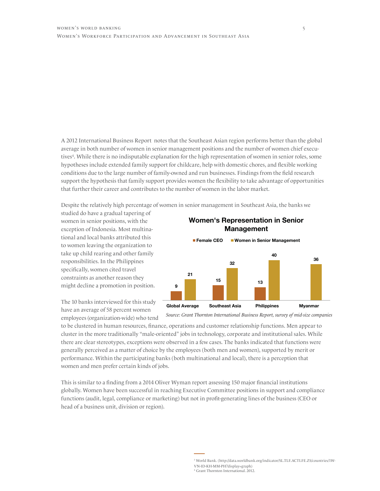A 2012 International Business Report notes that the Southeast Asian region performs better than the global average in both number of women in senior management positions and the number of women chief executives4 . While there is no indisputable explanation for the high representation of women in senior roles, some hypotheses include extended family support for childcare, help with domestic chores, and flexible working conditions due to the large number of family-owned and run businesses. Findings from the field research support the hypothesis that family support provides women the flexibility to take advantage of opportunities that further their career and contributes to the number of women in the labor market.

Despite the relatively high percentage of women in senior management in Southeast Asia, the banks we

studied do have a gradual tapering of women in senior positions, with the exception of Indonesia. Most multinational and local banks attributed this to women leaving the organization to take up child rearing and other family responsibilities. In the Philippines specifically, women cited travel constraints as another reason they might decline a promotion in position.





Source: Grant Thornton International Business Report, survey of mid-size companies

to be clustered in human resources, finance, operations and customer relationship functions. Men appear to cluster in the more traditionally "male-oriented" jobs in technology, corporate and institutional sales. While there are clear stereotypes, exceptions were observed in a few cases. The banks indicated that functions were generally perceived as a matter of choice by the employees (both men and women), supported by merit or performance. Within the participating banks (both multinational and local), there is a perception that women and men prefer certain kinds of jobs.

This is similar to a finding from a 2014 Oliver Wyman report assessing 150 major financial institutions globally. Women have been successful in reaching Executive Committee positions in support and compliance functions (audit, legal, compliance or marketing) but not in profit-generating lines of the business (CEO or head of a business unit, division or region).

<sup>3</sup> World Bank. (http://data.worldbank.org/indicator/SL.TLF.ACTI.FE.ZS/countries/1W-VN-ID-KH-MM-PH?display=graph) 4 Grant Thornton International. 2012.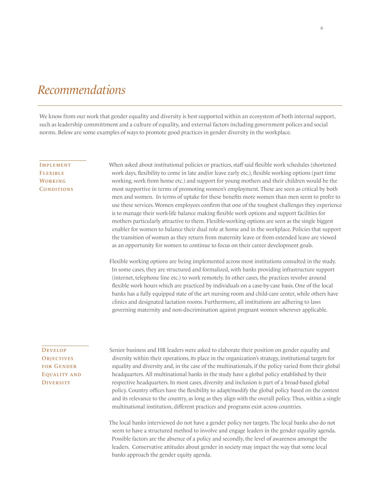### Recommendations

We know from our work that gender equality and diversity is best supported within an ecosystem of both internal support, such as leadership committment and a culture of equality, and external factors including government polices and social norms. Below are some examples of ways to promote good practices in gender diversity in the workplace.

#### IMPLEMENT FLEXIBLE WORKING **CONDITIONS**

When asked about institutional policies or practices, staff said flexible work schedules (shortened work days, flexibility to come in late and/or leave early etc.), flexible working options (part time working, work from home etc.) and support for young mothers and their children would be the most supportive in terms of promoting women's employment. These are seen as critical by both men and women. In terms of uptake for these benefits more women than men seem to prefer to use these services. Women employees confirm that one of the toughest challenges they experience is to manage their work-life balance making flexible work options and support facilities for mothers particularly attractive to them. Flexible-working options are seen as the single biggest enabler for women to balance their dual role at home and in the workplace. Policies that support the transition of women as they return from maternity leave or from extended leave are viewed as an opportunity for women to continue to focus on their career development goals.

Flexible working options are being implemented across most institutions consulted in the study. In some cases, they are structured and formalized, with banks providing infrastructure support (internet, telephone line etc.) to work remotely. In other cases, the practices revolve around flexible work hours which are practiced by individuals on a case-by-case basis. One of the local banks has a fully equipped state of the art nursing room and child-care center, while others have clinics and designated lactation rooms. Furthermore, all institutions are adhering to laws governing maternity and non-discrimination against pregnant women wherever applicable.

#### DEVELOP **OBJECTIVES** FOR GENDER EQUALITY AND **DIVERSITY**

Senior business and HR leaders were asked to elaborate their position on gender equality and diversity within their operations, its place in the organization's strategy, institutional targets for equality and diversity and, in the case of the multinationals, if the policy varied from their global headquarters. All multinational banks in the study have a global policy established by their respective headquarters. In most cases, diversity and inclusion is part of a broad-based global policy. Country offices have the flexibility to adapt/modify the global policy based on the context and its relevance to the country, as long as they align with the overall policy. Thus, within a single multinational institution, different practices and programs exist across countries.

The local banks interviewed do not have a gender policy nor targets. The local banks also do not seem to have a structured method to involve and engage leaders in the gender equality agenda. Possible factors are the absence of a policy and secondly, the level of awareness amongst the leaders. Conservative attitudes about gender in society may impact the way that some local banks approach the gender equity agenda.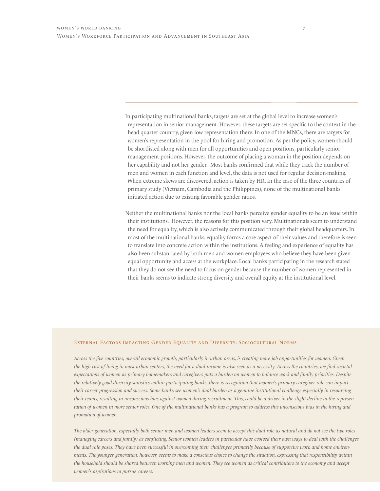In participating multinational banks, targets are set at the global level to increase women's representation in senior management. However, these targets are set specific to the context in the head quarter country, given low representation there. In one of the MNCs, there are targets for women's representation in the pool for hiring and promotion. As per the policy, women should be shortlisted along with men for all opportunities and open positions, particularly senior management positions. However, the outcome of placing a woman in the position depends on her capability and not her gender. Most banks confirmed that while they track the number of men and women in each function and level, the data is not used for regular decision-making. When extreme skews are discovered, action is taken by HR. In the case of the three countries of primary study (Vietnam, Cambodia and the Philippines), none of the multinational banks initiated action due to existing favorable gender ratios.

Neither the multinational banks nor the local banks perceive gender equality to be an issue within their institutions. However, the reasons for this position vary. Multinationals seem to understand the need for equality, which is also actively communicated through their global headquarters. In most of the multinational banks, equality forms a core aspect of their values and therefore is seen to translate into concrete action within the institutions. A feeling and experience of equality has also been substantiated by both men and women employees who believe they have been given equal opportunity and access at the workplace. Local banks participating in the research stated that they do not see the need to focus on gender because the number of women represented in their banks seems to indicate strong diversity and overall equity at the institutional level.

#### EXTERNAL FACTORS IMPACTING GENDER EQUALITY AND DIVERSITY: SOCIOCULTURAL NORMS

Across the five countries, overall economic growth, particularly in urban areas, is creating more job opportunities for women. Given the high cost of living in most urban centers, the need for a dual income is also seen as a necessity. Across the countries, we find societal expectations of women as primary homemakers and caregivers puts a burden on women to balance work and family priorities. Despite the relatively good diversity statistics within participating banks, there is recognition that women's primary caregiver role can impact their career progression and success. Some banks see women's dual burden as a genuine institutional challenge especially in resourcing their teams, resulting in unconscious bias against women during recruitment. This, could be a driver in the slight decline in the representation of women in more senior roles. One of the multinational banks has a program to address this unconscious bias in the hiring and promotion of women.

The older generation, especially both senior men and women leaders seem to accept this dual role as natural and do not see the two roles (managing careers and family) as conflicting. Senior women leaders in particular have evolved their own ways to deal with the challenges the dual role poses. They have been successful in overcoming their challenges primarily because of supportive work and home environments. The younger generation, however, seems to make a conscious choice to change the situation, expressing that responsibility within the household should be shared between working men and women. They see women as critical contributors to the economy and accept women's aspirations to pursue careers.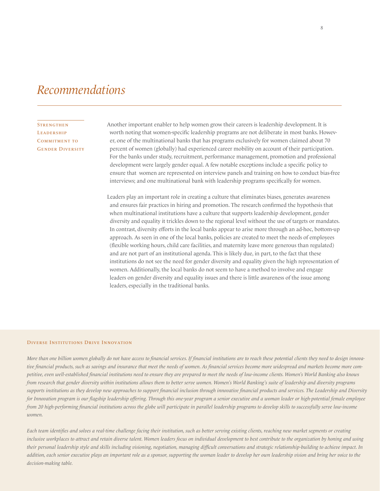### Recommendations

#### **STRENGTHEN LEADERSHIP** COMMITMENT TO GENDER DIVERSITY

Another important enabler to help women grow their careers is leadership development. It is worth noting that women-specific leadership programs are not deliberate in most banks. However, one of the multinational banks that has programs exclusively for women claimed about 70 percent of women (globally) had experienced career mobility on account of their participation. For the banks under study, recruitment, performance management, promotion and professional development were largely gender equal. A few notable exceptions include a specific policy to ensure that women are represented on interview panels and training on how to conduct bias-free interviews; and one multinational bank with leadership programs specifically for women.

Leaders play an important role in creating a culture that eliminates biases, generates awareness and ensures fair practices in hiring and promotion. The research confirmed the hypothesis that when multinational institutions have a culture that supports leadership development, gender diversity and equality it trickles down to the regional level without the use of targets or mandates. In contrast, diversity efforts in the local banks appear to arise more through an ad-hoc, bottom-up approach. As seen in one of the local banks, policies are created to meet the needs of employees (flexible working hours, child care facilities, and maternity leave more generous than regulated) and are not part of an institutional agenda. This is likely due, in part, to the fact that these institutions do not see the need for gender diversity and equality given the high representation of women. Additionally, the local banks do not seem to have a method to involve and engage leaders on gender diversity and equality issues and there is little awareness of the issue among leaders, especially in the traditional banks.

#### DIVERSE INSTITUTIONS DRIVE INNOVATION

More than one billion women globally do not have access to financial services. If financial institutions are to reach these potential clients they need to design innovative financial products, such as savings and insurance that meet the needs of women. As financial services become more widespread and markets become more competitive, even well-established financial institutions need to ensure they are prepared to meet the needs of low-income clients. Women's World Banking also knows from research that gender diversity within institutions allows them to better serve women. Women's World Banking's suite of leadership and diversity programs supports institutions as they develop new approaches to support financial inclusion through innovative financial products and services. The Leadership and Diversity for Innovation program is our flagship leadership offering. Through this one-year program a senior executive and a woman leader or high-potential female employee from 20 high-performing financial institutions across the globe will participate in parallel leadership programs to develop skills to successfully serve low-income women.

Each team identifies and solves a real-time challenge facing their institution, such as better serving existing clients, reaching new market segments or creating inclusive workplaces to attract and retain diverse talent. Women leaders focus on individual development to best contribute to the organization by honing and using their personal leadership style and skills including visioning, negotiation, managing difficult conversations and strategic relationship-building to achieve impact. In addition, each senior executive plays an important role as a sponsor, supporting the woman leader to develop her own leadership vision and bring her voice to the decision-making table.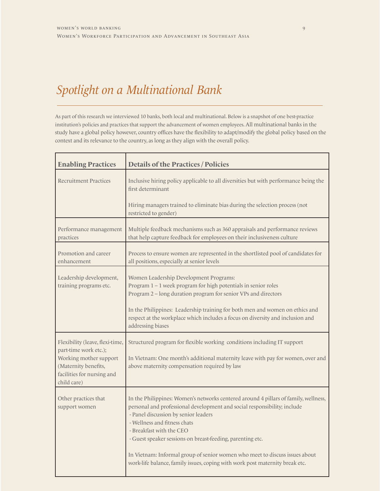## Spotlight on a Multinational Bank

As part of this research we interviewed 10 banks, both local and multinational. Below is a snapshot of one best-practice institution's policies and practices that support the advancement of women employees. All multinational banks in the study have a global policy however, country offices have the flexibility to adapt/modify the global policy based on the context and its relevance to the country, as long as they align with the overall policy.

| <b>Enabling Practices</b>                                                                                                                               | <b>Details of the Practices / Policies</b>                                                                                                                                                                                                                                                                                                                                                                                                                                                       |
|---------------------------------------------------------------------------------------------------------------------------------------------------------|--------------------------------------------------------------------------------------------------------------------------------------------------------------------------------------------------------------------------------------------------------------------------------------------------------------------------------------------------------------------------------------------------------------------------------------------------------------------------------------------------|
| <b>Recruitment Practices</b>                                                                                                                            | Inclusive hiring policy applicable to all diversities but with performance being the<br>first determinant                                                                                                                                                                                                                                                                                                                                                                                        |
|                                                                                                                                                         | Hiring managers trained to eliminate bias during the selection process (not<br>restricted to gender)                                                                                                                                                                                                                                                                                                                                                                                             |
| Performance management<br>practices                                                                                                                     | Multiple feedback mechanisms such as 360 appraisals and performance reviews<br>that help capture feedback for employees on their inclusiveness culture                                                                                                                                                                                                                                                                                                                                           |
| Promotion and career<br>enhancement                                                                                                                     | Process to ensure women are represented in the shortlisted pool of candidates for<br>all positions, especially at senior levels                                                                                                                                                                                                                                                                                                                                                                  |
| Leadership development,<br>training programs etc.                                                                                                       | Women Leadership Development Programs:<br>Program 1-1 week program for high potentials in senior roles<br>Program 2 - long duration program for senior VPs and directors<br>In the Philippines: Leadership training for both men and women on ethics and<br>respect at the workplace which includes a focus on diversity and inclusion and<br>addressing biases                                                                                                                                  |
| Flexibility (leave, flexi-time,<br>part-time work etc.);<br>Working mother support<br>(Maternity benefits,<br>facilities for nursing and<br>child care) | Structured program for flexible working conditions including IT support<br>In Vietnam: One month's additional maternity leave with pay for women, over and<br>above maternity compensation required by law                                                                                                                                                                                                                                                                                       |
| Other practices that<br>support women                                                                                                                   | In the Philippines: Women's networks centered around 4 pillars of family, wellness,<br>personal and professional development and social responsibility; include<br>- Panel discussion by senior leaders<br>- Wellness and fitness chats<br>- Breakfast with the CEO<br>- Guest speaker sessions on breast-feeding, parenting etc.<br>In Vietnam: Informal group of senior women who meet to discuss issues about<br>work-life balance, family issues, coping with work post maternity break etc. |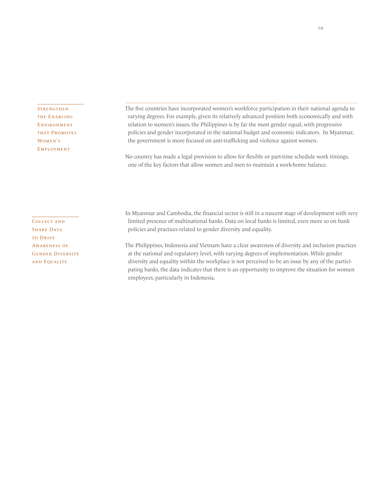**STRENGTHEN** THE ENABLING ENVIRONMENT THAT PROMOTES WOMEN'S EMPLOYMENT

The five countries have incorporated women's workforce participation in their national agenda to varying degrees. For example, given its relatively advanced position both economically and with relation to women's issues, the Philippines is by far the most gender equal, with progressive policies and gender incorporated in the national budget and economic indicators. In Myanmar, the government is more focused on anti-trafficking and violence against women.

No country has made a legal provision to allow for flexible or part-time schedule work timings, one of the key factors that allow women and men to maintain a work-home balance.

In Myanmar and Cambodia, the financial sector is still in a nascent stage of development with very limited presence of multinational banks. Data on local banks is limited, even more so on bank policies and practices related to gender diversity and equality.

The Philippines, Indonesia and Vietnam have a clear awareness of diversity and inclusion practices at the national and regulatory level, with varying degrees of implementation. While gender diversity and equality within the workplace is not perceived to be an issue by any of the participating banks, the data indicates that there is an opportunity to improve the situation for women employees, particularly in Indonesia.

COLLECT AND SHARE DATA TO DRIVE AWARENESS OF GENDER DIVERSITY AND EQUALITY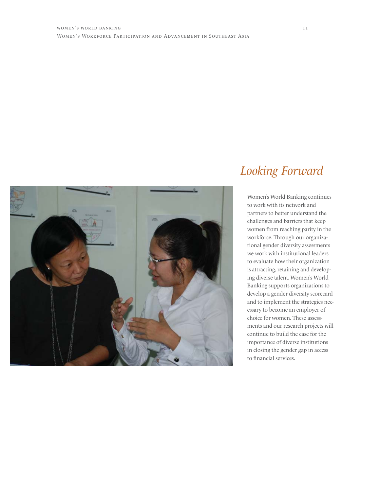

## Looking Forward

Women's World Banking continues to work with its network and partners to better understand the challenges and barriers that keep women from reaching parity in the workforce. Through our organizational gender diversity assessments we work with institutional leaders to evaluate how their organization is attracting, retaining and developing diverse talent. Women's World Banking supports organizations to develop a gender diversity scorecard and to implement the strategies necessary to become an employer of choice for women. These assessments and our research projects will continue to build the case for the importance of diverse institutions in closing the gender gap in access to financial services.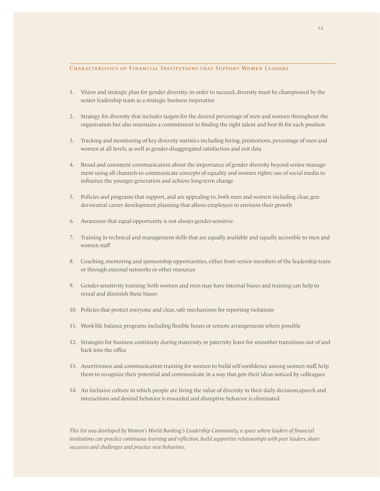#### CHARACTERISTICS OF FINANCIAL INSTITUTIONS THAT SUPPORT WOMEN LEADERS

- 1. Vision and strategic plan for gender diversity; in order to succeed, diversity must be championed by the senior leadership team as a strategic business imperative
- 2. Strategy for diversity that includes targets for the desired percentage of men and women throughout the organization but also maintains a commitment to finding the right talent and best fit for each position
- 3. Tracking and monitoring of key diversity statistics including hiring, promotions, percentage of men and women at all levels, as well as gender-disaggregated satisfaction and exit data
- 4. Broad and consistent communication about the importance of gender diversity beyond senior management using all channels to communicate concepts of equality and women rights; use of social media to influence the younger generation and achieve long-term change
- 5. Policies and programs that support, and are appealing to, both men and women including clear, gender-neutral career development planning that allows employees to envision their growth
- 6. Awareness that equal opportunity is not always gender-sensitive
- 7. Training in technical and management skills that are equally available and equally accessible to men and women staff
- 8. Coaching, mentoring and sponsorship opportunities, either from senior members of the leadership team or through external networks or other resources
- 9. Gender-sensitivity training; both women and men may have internal biases and training can help to reveal and diminish these biases
- 10. Policies that protect everyone and clear, safe mechanisms for reporting violations
- 11. Work-life balance programs including flexible hours or remote arrangements where possible
- 12. Strategies for business continuity during maternity or paternity leave for smoother transitions out of and back into the office
- 13. Assertiveness and communication training for women to build self-confidence among women staff, help them to recognize their potential and communicate in a way that gets their ideas noticed by colleagues
- 14. An inclusive culture in which people are living the value of diversity in their daily decisions,speech and interactions and desired behavior is rewarded and disruptive behavior is eliminated

This list was developed by Women's World Banking's Leadership Community, a space where leaders of financial institutions can practice continuous learning and reflection, build supportive relationships with peer leaders, share successes and challenges and practice new behaviors.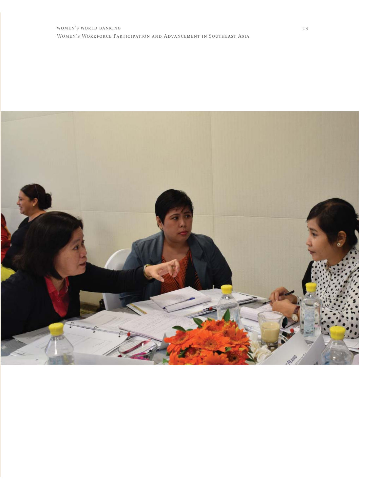